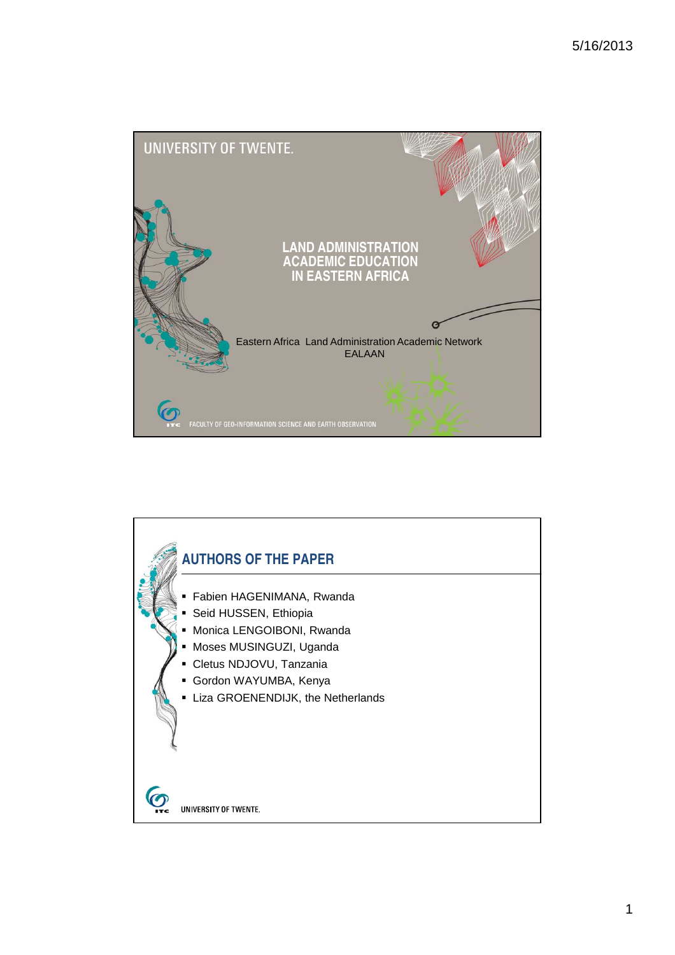

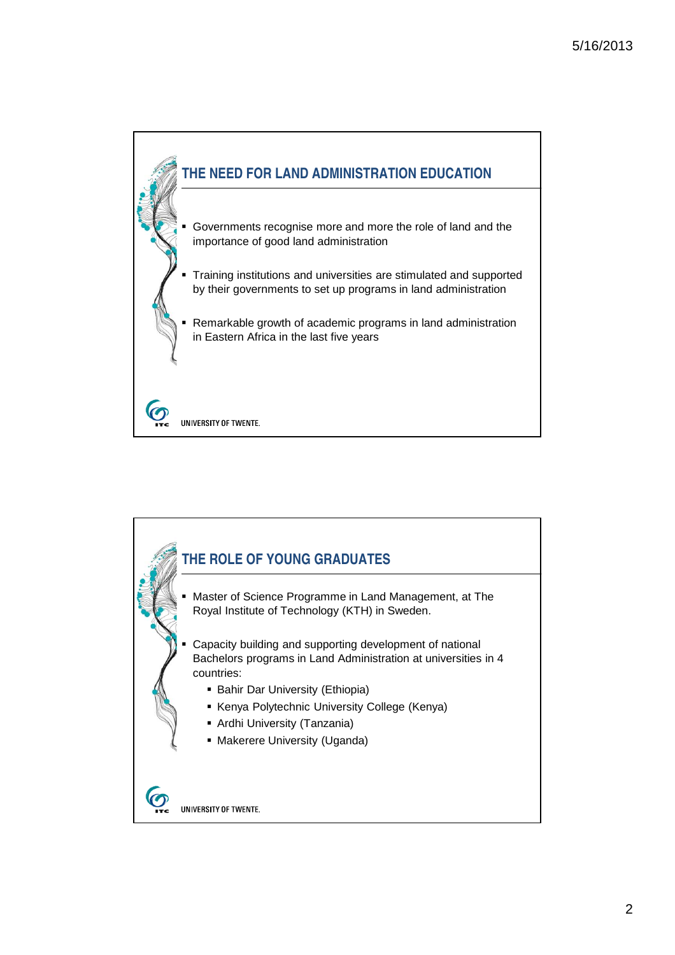

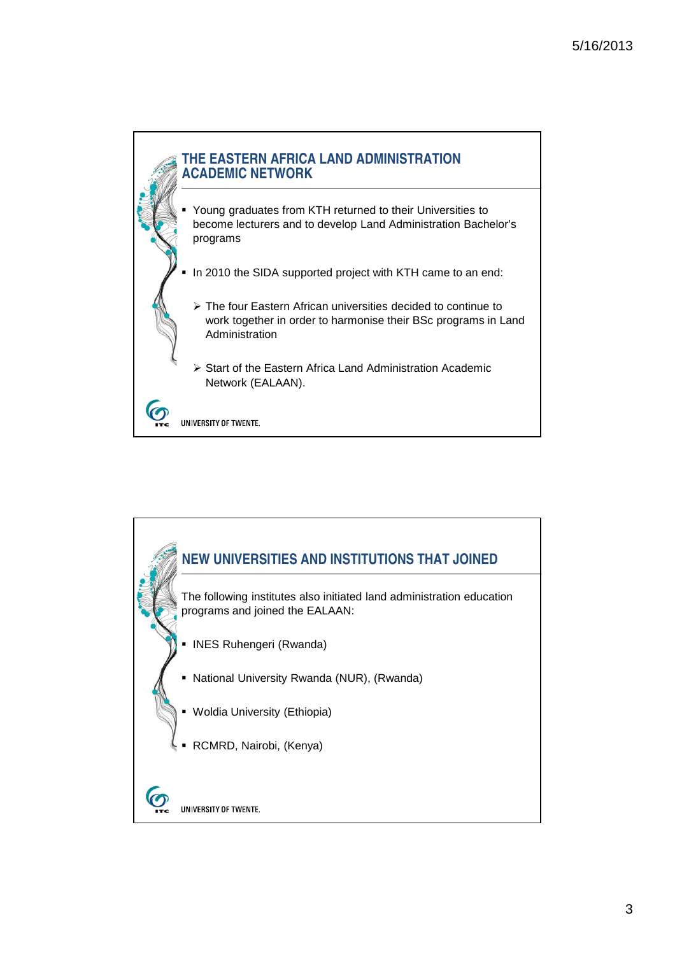

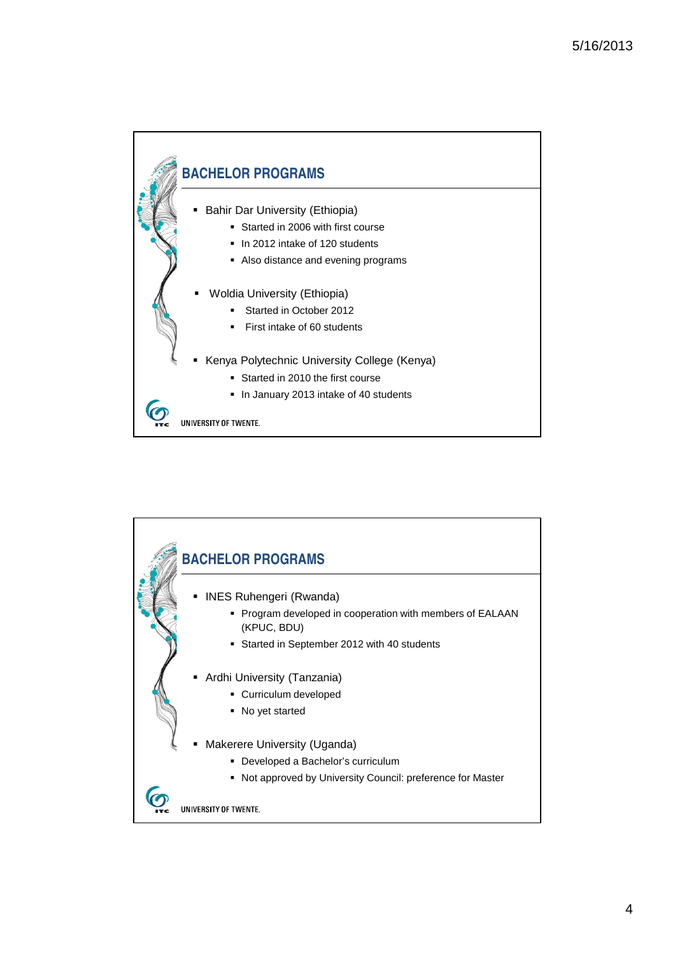

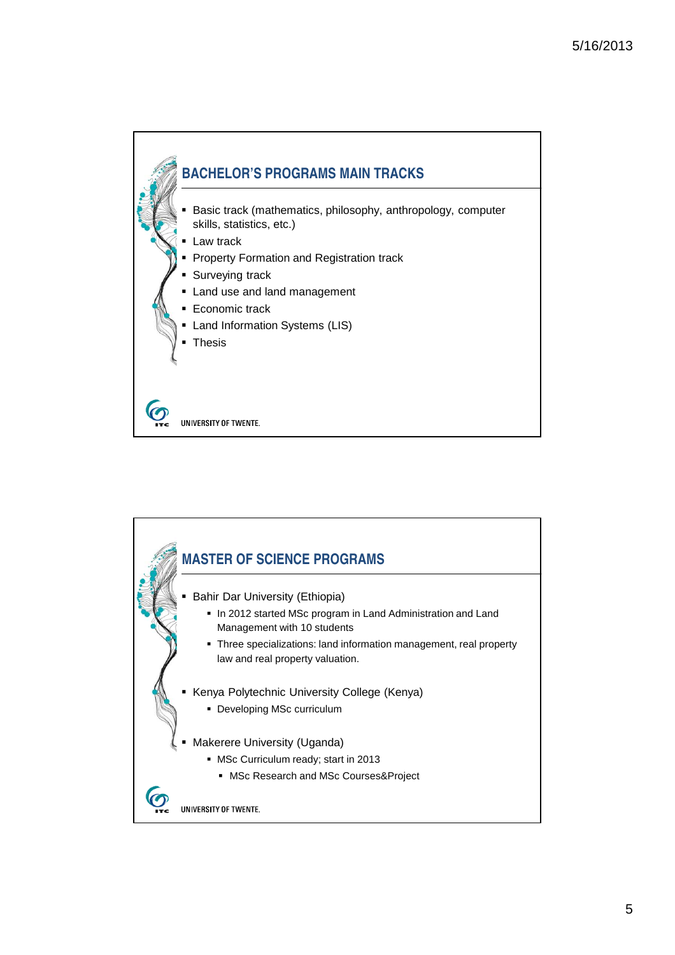

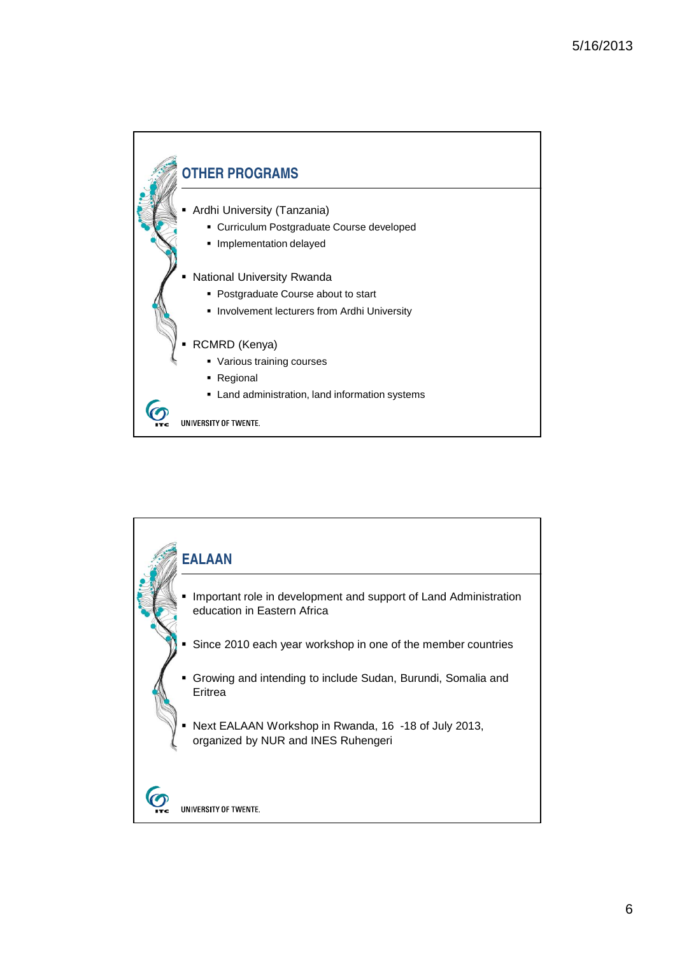

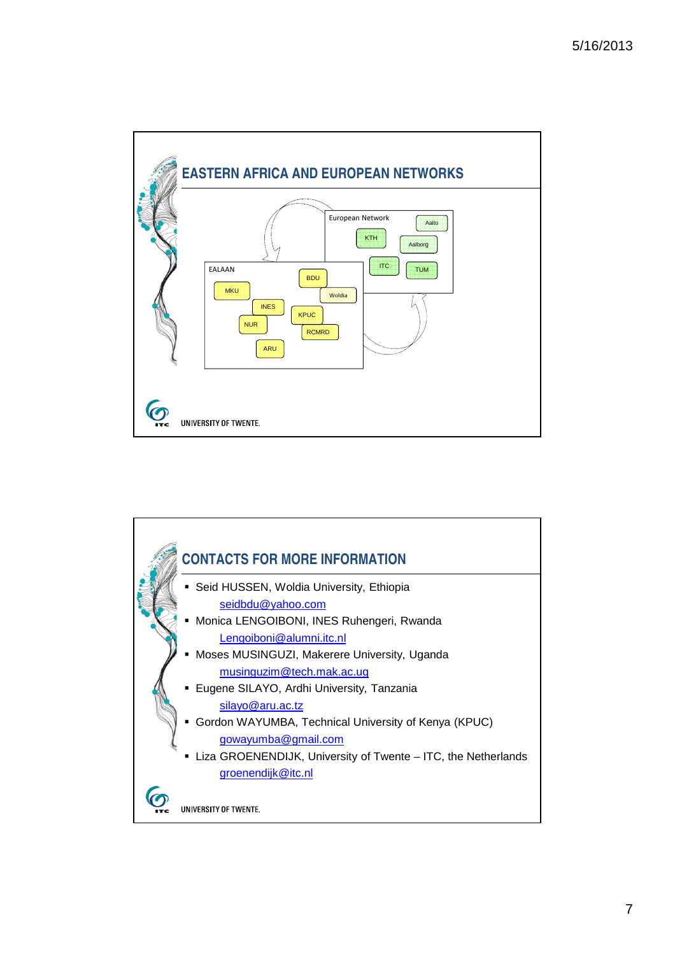